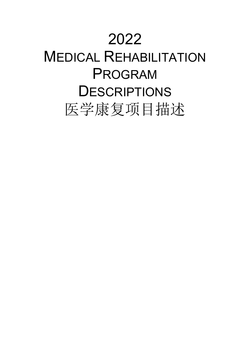# 2022

# MEDICAL REHABILITATION PROGRAM **DESCRIPTIONS** 医学康复项目描述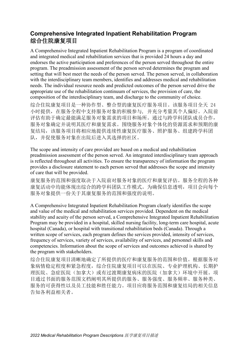# **Comprehensive Integrated Inpatient Rehabilitation Program** 综合住院康复项目

A Comprehensive Integrated Inpatient Rehabilitation Program is a program of coordinated and integrated medical and rehabilitation services that is provided 24 hours a day and endorses the active participation and preferences of the person served throughout the entire program. The preadmission assessment of the person served determines the program and setting that will best meet the needs of the person served. The person served, in collaboration with the interdisciplinary team members, identifies and addresses medical and rehabilitation needs. The individual resource needs and predicted outcomes of the person served drive the appropriate use of the rehabilitation continuum of services, the provision of care, the composition of the interdisciplinary team, and discharge to the community of choice.

综合住院康复项目是一种协作型、整合型的康复医疗服务项目。该服务项目全天 24 小时提供,在服务全程中支持服务对象的积极参与, 并充分考量其个人偏好。入院前 评估有助于确定最能满足服务对象需求的项目和场所。通过与跨学科团队成员合作, 服务对象确定并说明其医疗和康复需求。围绕服务对象个体化的资源需求和预期的康 复结局,该服务项目将相应地提供连续性康复医疗服务、照护服务、组建跨学科团 队,并促使服务对象在出院后进入其选择的社区。

The scope and intensity of care provided are based on a medical and rehabilitation preadmission assessment of the person served. An integrated interdisciplinary team approach is reflected throughout all activities. To ensure the transparency of information the program provides a disclosure statement to each person served that addresses the scope and intensity of care that will be provided.

康复服务的范围和强度取决于入院前对服务对象的医疗和康复评估。服务全程的各种 康复活动中均能体现出综合的跨学科团队工作模式。为确保信息透明,项目会向每个 服务对象提供一份关于其康复服务的范围和强度的说明。

A Comprehensive Integrated Inpatient Rehabilitation Program clearly identifies the scope and value of the medical and rehabilitation services provided. Dependent on the medical stability and acuity of the person served, a Comprehensive Integrated Inpatient Rehabilitation Program may be provided in a hospital, skilled nursing facility, long-term care hospital, acute hospital (Canada), or hospital with transitional rehabilitation beds (Canada). Through a written scope of services, each program defines the services provided, intensity of services, frequency of services, variety of services, availability of services, and personnel skills and competencies. Information about the scope of services and outcomes achieved is shared by the program with stakeholders.

综合住院康复项目清晰地确定了所提供的医疗和康复服务的范围和价值。根据服务对 象病情稳定程度和紧急程度,综合住院康复项目可以在医院、专业护理机构、长期护 理医院、急症医院(加拿大)或有过渡期康复病床的医院(加拿大)环境中开展。项 目通过书面的服务范围文档阐明其所提供的服务、服务强度、服务频率、服务种类、 服务的可获得性以及员工技能和胜任能力。项目应将服务范围和康复结局的相关信息 告知各利益相关者。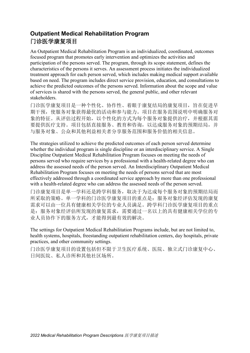# **Outpatient Medical Rehabilitation Program** 门诊医学康复项目

An Outpatient Medical Rehabilitation Program is an individualized, coordinated, outcomes focused program that promotes early intervention and optimizes the activities and participation of the persons served. The program, through its scope statement, defines the characteristics of the persons it serves. An assessment process initiates the individualized treatment approach for each person served, which includes making medical support available based on need. The program includes direct service provision, education, and consultations to achieve the predicted outcomes of the persons served. Information about the scope and value of services is shared with the persons served, the general public, and other relevant stakeholders.

门诊医学康复项目是一种个性化、协作性、着眼于康复结局的康复项目,旨在促进早 期干预,使服务对象获得最优的活动和参与能力。项目在服务范围说明中明确服务对 象的特征。从评估过程开始,以个性化的方式为每个服务对象提供治疗,并根据其需 要提供医疗支持。项目包括直接服务、教育和咨询,以达成服务对象的预期结局,并 与服务对象、公众和其他利益相关者分享服务范围和服务价值的相关信息。

The strategies utilized to achieve the predicted outcomes of each person served determine whether the individual program is single discipline or an interdisciplinary service. A Single Discipline Outpatient Medical Rehabilitation Program focuses on meeting the needs of persons served who require services by a professional with a health-related degree who can address the assessed needs of the person served. An Interdisciplinary Outpatient Medical Rehabilitation Program focuses on meeting the needs of persons served that are most effectively addressed through a coordinated service approach by more than one professional with a health-related degree who can address the assessed needs of the person served.

门诊康复项目是单一学科还是跨学科服务,取决于为达成每个服务对象的预期结局而 所采取的策略。单一学科的门诊医学康复项目的重点是:服务对象经评估发现的康复 需求可以由一位具有健康相关学位的专业人员满足。跨学科门诊医学康复项目的重点 是:服务对象经评估所发现的康复需求,需要通过一名以上的具有健康相关学位的专 业人员协作下的服务方式,才能得到最有效的解决。

The settings for Outpatient Medical Rehabilitation Programs include, but are not limited to, health systems, hospitals, freestanding outpatient rehabilitation centers, day hospitals, private practices, and other community settings.

门诊医学康复项目的设置包括但不限于卫生医疗系统、医院、独立式门诊康复中心、 日间医院、私人诊所和其他社区场所。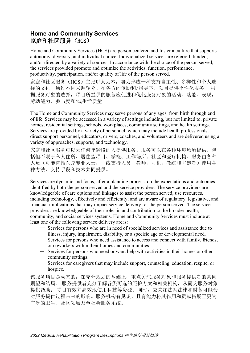#### **Home and Community Services** 家庭和社区服务(HCS)

Home and Community Services (HCS) are person centered and foster a culture that supports autonomy, diversity, and individual choice. Individualized services are referred, funded, and/or directed by a variety of sources. In accordance with the choice of the person served, the services provided promote and optimize the activities, function, performance, productivity, participation, and/or quality of life of the person served.

家庭和社区服务(HCS)主张以人为本,努力形成一种支持自主性、多样性和个人选 择的文化。通过不同来源转介、在各方的资助和/指导下,项目提供个性化服务。 根 据服务对象的选择,项目所提供的服务应促进和优化服务对象的活动、功能、表现, 劳动能力、参与度和/或生活质量。

The Home and Community Services may serve persons of any ages, from birth through end of life. Services may be accessed in a variety of settings including, but not limited to, private homes, residential settings, schools, workplaces, community settings, and health settings. Services are provided by a variety of personnel, which may include health professionals, direct support personnel, educators, drivers, coaches, and volunteers and are delivered using a variety of approaches, supports, and technology.

家庭和社区服务可以为任何年龄段的人提供服务。服务可以在各种环境场所提供,包 括但不限于私人住所、居住型项目、学校、工作场所、社区和医疗机构。服务由各种 人员(可能包括医疗专业人士,一线支持人员,教师,司机,教练和志愿者)使用各 种方法、支持手段和技术共同提供。

Services are dynamic and focus, after a planning process, on the expectations and outcomes identified by both the person served and the service providers. The service providers are knowledgeable of care options and linkages to assist the person served; use resources, including technology, effectively and efficiently; and are aware of regulatory, legislative, and financial implications that may impact service delivery for the person served. The service providers are knowledgeable of their roles in and contribution to the broader health, community, and social services systems. Home and Community Services must include at least one of the following service delivery areas:

- Services for persons who are in need of specialized services and assistance due to illness, injury, impairment, disability, or a specific age or developmental need.
- Services for persons who need assistance to access and connect with family, friends, or coworkers within their homes and communities.
- Services for persons who need or want help with activities in their homes or other community settings.
- Services for caregivers that may include support, counseling, education, respite, or hospice.

该服务项目是动态的,在充分规划的基础上,重点关注服务对象和服务提供者的共同 期望和结局。 服务提供者充分了解各类可选的照护方案和相关机构,从而为服务对象 提供帮助; 项目有效并高效地使用科技等资源;同时,应关注法规法律和财务可能会 对服务提供过程带来的影响。服务机构有见识、且有能力将其作用和贡献拓展至更为 广泛的卫生、社区领域乃至社会服务系统。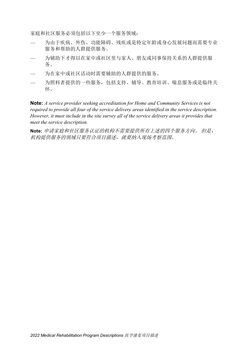家庭和社区服务必须包括以下至少一个服务领域:

- 为由于疾病、外伤、功能障碍、残疾或是特定年龄或身心发展问题而需要专业 服务和帮助的人群提供服务。
- 为辅助下才得以在家中或社区里与家人、朋友或同事保持关系的人群提供服 务。
- 为在家中或社区活动时需要辅助的人群提供的服务。
- 为照料者提供的一些服务,包括支持、辅导、教育培训、喘息服务或是临终关 怀。

**Note:** *A service provider seeking accreditation for Home and Community Services is not required to provide all four of the service delivery areas identified in the service description. However, it must include in the site survey all of the service delivery areas it provides that meet the service description.*

**Note:** 申请家庭和社区服务认证的机构不需要提供所有上述的四个服务方向。 但是, 机构提供服务的领域只要符合项目描述,就要纳入现场考察范围。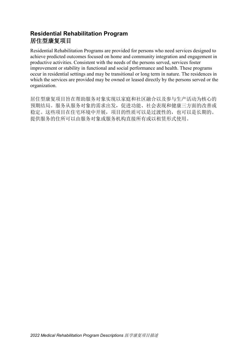# **Residential Rehabilitation Program** 居住型康复项目

Residential Rehabilitation Programs are provided for persons who need services designed to achieve predicted outcomes focused on home and community integration and engagement in productive activities. Consistent with the needs of the persons served, services foster improvement or stability in functional and social performance and health. These programs occur in residential settings and may be transitional or long term in nature. The residences in which the services are provided may be owned or leased directly by the persons served or the organization.

居住型康复项目旨在帮助服务对象实现以家庭和社区融合以及参与生产活动为核心的 预期结局。服务从服务对象的需求出发,促进功能、社会表现和健康三方面的改善或 稳定。这些项目在住宅环境中开展,项目的性质可以是过渡性的,也可以是长期的。 提供服务的住所可以由服务对象或服务机构直接所有或以租赁形式使用。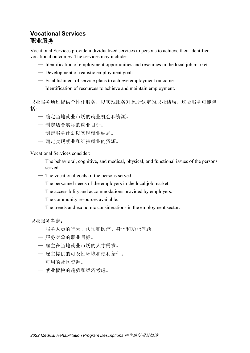#### **Vocational Services** 职业服务

Vocational Services provide individualized services to persons to achieve their identified vocational outcomes. The services may include:

- Identification of employment opportunities and resources in the local job market.
- Development of realistic employment goals.
- Establishment of service plans to achieve employment outcomes.
- Identification of resources to achieve and maintain employment.

职业服务通过提供个性化服务,以实现服务对象所认定的职业结局。这类服务可能包 括:

- 确定当地就业市场的就业机会和资源。
- 制定切合实际的就业目标。
- 制定服务计划以实现就业结局。
- 确定实现就业和维持就业的资源。

Vocational Services consider:

- $-$  The behavioral, cognitive, and medical, physical, and functional issues of the persons served.
- The vocational goals of the persons served.
- The personnel needs of the employers in the local job market.
- The accessibility and accommodations provided by employers.
- The community resources available.
- The trends and economic considerations in the employment sector.

职业服务考虑:

- 服务人员的行为、认知和医疗、身体和功能问题。
- 服务对象的职业目标。
- 雇主在当地就业市场的人才需求。
- 雇主提供的可及性环境和便利条件。
- 可用的社区资源。
- 就业板块的趋势和经济考虑。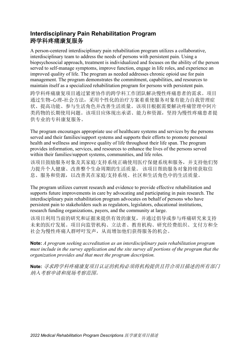#### **Interdisciplinary Pain Rehabilitation Program** 跨学科疼痛康复服务

A person-centered interdisciplinary pain rehabilitation program utilizes a collaborative, interdisciplinary team to address the needs of persons with persistent pain. Using a biopsychosocial approach, treatment is individualized and focuses on the ability of the person served to self-manage symptoms, improve function, engage in life roles, and experience an improved quality of life. The program as needed addresses chronic opioid use for pain management. The program demonstrates the commitment, capabilities, and resources to maintain itself as a specialized rehabilitation program for persons with persistent pain.

跨学科疼痛康复项目通过紧密协作的跨学科工作团队解决慢性疼痛患者的需求。项目 通过生物-心理-社会方法,采用个性化的治疗方案着重使服务对象有能力自我管理症 状、提高功能、参与生活角色并改善生活质量。该项目根据需要解决疼痛管理中阿片 类药物的长期使用问题。该项目应体现出承诺、能力和资源,坚持为慢性疼痛患者提 供专业的专科康复服务。

The program encourages appropriate use of healthcare systems and services by the persons served and their families/support systems and supports their efforts to promote personal health and wellness and improve quality of life throughout their life span. The program provides information, services, and resources to enhance the lives of the persons served within their families/support systems, communities, and life roles.

该项目鼓励服务对象及其家庭/支持系统正确使用医疗保健系统和服务,并支持他们努 力提升个人健康、改善整个生命周期的生活质量。 该项目帮助服务对象持续获取信 息、服务和资源,以改善其在家庭/支持系统、社区和生活角色中的生活质量。

The program utilizes current research and evidence to provide effective rehabilitation and supports future improvements in care by advocating and participating in pain research. The interdisciplinary pain rehabilitation program advocates on behalf of persons who have persistent pain to stakeholders such as regulators, legislators, educational institutions, research funding organizations, payers, and the community at large.

该项目利用当前的研究和证据来提供有效的康复,并通过倡导或参与疼痛研究来支持 未来的医疗发展。项目向监管机构、立法者、教育机构、研究经费组织、支付方和全 社会为慢性疼痛人群呼吁发声,从而增加他们获得服务的机会。

**Note:** *A program seeking accreditation as an interdisciplinary pain rehabilitation program must include in the survey application and the site survey all portions of the program that the organization provides and that meet the program description.*

**Note:** 寻求跨学科疼痛康复项目认证的机构必须将机构提供且符合项目描述的所有部门 纳入考察申请和现场考察范围。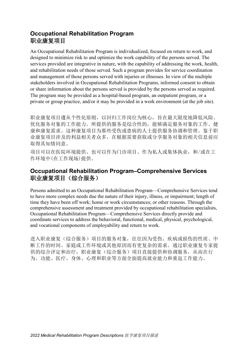# **Occupational Rehabilitation Program** 职业康复项目

An Occupational Rehabilitation Program is individualized, focused on return to work, and designed to minimize risk to and optimize the work capability of the persons served. The services provided are integrative in nature, with the capability of addressing the work, health, and rehabilitation needs of those served. Such a program provides for service coordination and management of those persons served with injuries or illnesses. In view of the multiple stakeholders involved in Occupational Rehabilitation Programs, informed consent to obtain or share information about the persons served is provided by the persons served as required. The program may be provided as a hospital-based program, an outpatient program, or a private or group practice, and/or it may be provided in a work environment (at the job site).

职业康复项目遵从个性化原则,以回归工作岗位为核心,旨在最大限度地降低风险、 优化服务对象的工作能力。所提供的服务是综合性的,能够满足服务对象的工作、健 康和康复需求。这种康复项目为那些受伤或患病的人士提供服务协调和管理。鉴于职 业康复项目涉及的利益相关者众多,在根据需要获取或分享服务对象的相关信息前应 取得其知情同意。

项目可以在医院环境提供、也可以作为门诊项目、作为私人或集体执业,和/或在工 作环境中(在工作现场)提供。

#### **Occupational Rehabilitation Program–Comprehensive Services** 职业康复项目(综合服务)

Persons admitted to an Occupational Rehabilitation Program—Comprehensive Services tend to have more complex needs due the nature of their injury, illness, or impairment; length of time they have been off work; home or work circumstances; or other reasons. Through the comprehensive assessment and treatment provided by occupational rehabilitation specialists, Occupational Rehabilitation Program—Comprehensive Services directly provide and coordinate services to address the behavioral, functional, medical, physical, psychological, and vocational components of employability and return to work.

进入职业康复(综合服务)项目的服务对象,往往因为受伤、疾病或损伤的性质、中 断工作的时间、家庭或工作环境或其他原因而有更复杂的需求。通过职业康复专家提 供的综合评定和治疗,职业康复(综合服务)项目直接提供和协调服务,从而在行 为、功能、医疗、身体、心理和职业等方面全面提高就业能力和重返工作能力。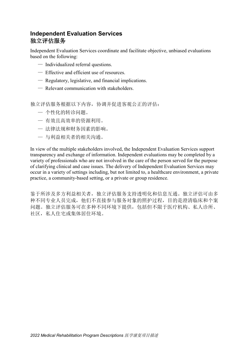## **Independent Evaluation Services** 独立评估服务

Independent Evaluation Services coordinate and facilitate objective, unbiased evaluations based on the following:

- Individualized referral questions.
- Effective and efficient use of resources.
- Regulatory, legislative, and financial implications.
- Relevant communication with stakeholders.

独立评估服务根据以下内容,协调并促进客观公正的评估:

- 个性化的转诊问题。
- 有效且高效率的资源利用。
- 法律法规和财务因素的影响。
- 与利益相关者的相关沟通。

In view of the multiple stakeholders involved, the Independent Evaluation Services support transparency and exchange of information. Independent evaluations may be completed by a variety of professionals who are not involved in the care of the person served for the purpose of clarifying clinical and case issues. The delivery of Independent Evaluation Services may occur in a variety of settings including, but not limited to, a healthcare environment, a private practice, a community-based setting, or a private or group residence.

鉴于所涉及多方利益相关者,独立评估服务支持透明化和信息互通。独立评估可由多 种不同专业人员完成,他们不直接参与服务对象的照护过程,目的是澄清临床和个案 问题。独立评估服务可在多种不同环境下提供,包括但不限于医疗机构、私人诊所、 社区,私人住宅或集体居住环境。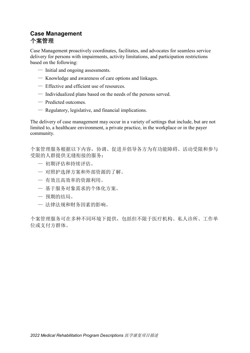## **Case Management** 个案管理

Case Management proactively coordinates, facilitates, and advocates for seamless service delivery for persons with impairments, activity limitations, and participation restrictions based on the following:

- Initial and ongoing assessments.
- Knowledge and awareness of care options and linkages.
- Effective and efficient use of resources.
- Individualized plans based on the needs of the persons served.
- Predicted outcomes.
- Regulatory, legislative, and financial implications.

The delivery of case management may occur in a variety of settings that include, but are not limited to, a healthcare environment, a private practice, in the workplace or in the payer community.

个案管理服务根据以下内容,协调、促进并倡导各方为有功能障碍、活动受限和参与 受限的人群提供无缝衔接的服务:

- 初期评估和持续评估。
- 对照护选择方案和外部资源的了解。
- 有效且高效率的资源利用。
- 基于服务对象需求的个体化方案。
- 预期的结局。
- 法律法规和财务因素的影响。

个案管理服务可在多种不同环境下提供,包括但不限于医疗机构、私人诊所、工作单 位或支付方群体。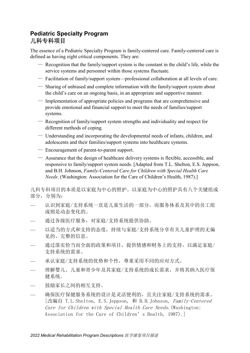# **Pediatric Specialty Program** 儿科专科项目

The essence of a Pediatric Specialty Program is family-centered care. Family-centered care is defined as having eight critical components. They are:

- Recognition that the family/support system is the constant in the child's life, while the service systems and personnel within those systems fluctuate.
- Facilitation of family/support system—professional collaboration at all levels of care.
- Sharing of unbiased and complete information with the family/support system about the child's care on an ongoing basis, in an appropriate and supportive manner.
- Implementation of appropriate policies and programs that are comprehensive and provide emotional and financial support to meet the needs of families/support systems.
- Recognition of family/support system strengths and individuality and respect for different methods of coping.
- Understanding and incorporating the developmental needs of infants, children, and adolescents and their families/support systems into healthcare systems.
- Encouragement of parent-to-parent support.
- Assurance that the design of healthcare delivery systems is flexible, accessible, and responsive to family/support system needs. [Adapted from T.L. Shelton, E.S. Jeppson, and B.H. Johnson, *Family-Centered Care for Children with Special Health Care Needs*. (Washington: Association for the Care of Children's Health, 1987).]

儿科专科项目的本质是以家庭为中心的照护。以家庭为中心的照护具有八个关键组成 部分,分别为:

- 认识到家庭/支持系统一直是儿童生活的一部分,而服务体系及其中的员工组 成则是动态变化的。
- 通过各级医疗服务,对家庭/支持系统提供协助。
- 以适当的方式和支持的态度,持续与家庭/支持系统分享有关儿童护理的无偏 见的、完整的信息。
- 通过落实恰当而全面的政策和项目,提供情感和财务上的支持,以满足家庭/ 支持系统的需求。
- 承认家庭/支持系统的优势和个性,尊重采用不同的应对方式。
- 理解婴儿、儿童和青少年及其家庭/支持系统的成长需求,并将其纳入医疗保 健系统。
- 鼓励家长之间的相互支持。
- 确保医疗保健服务系统的设计是灵活便利的,且关注家庭/支持系统的需求。 [改编自 T.L.Shelton, E.S.Jeppson, 和 B.H.Johnson, Family-Centered Care for Children with Special Health Care Needs.(Washington: Association for the Care of Children's Health, 1987).]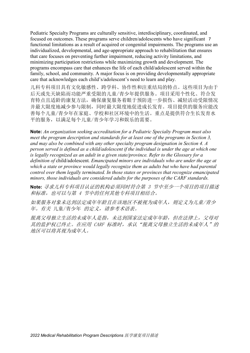Pediatric Specialty Programs are culturally sensitive, interdisciplinary, coordinated, and focused on outcomes. These programs serve children/adolescents who have significant 7 functional limitations as a result of acquired or congenital impairments. The programs use an individualized, developmental, and age-appropriate approach to rehabilitation that ensures that care focuses on preventing further impairment, reducing activity limitations, and minimizing participation restrictions while maximizing growth and development. The programs encompass care that enhances the life of each child/adolescent served within the family, school, and community. A major focus is on providing developmentally appropriate care that acknowledges each child's/adolescent's need to learn and play.

儿科专科项目具有文化敏感性、跨学科、协作性和注重结局的特点。这些项目为由于 后天或先天缺陷而功能严重受限的儿童/青少年提供服务。项目采用个性化、符合发 育特点且适龄的康复方法,确保康复服务着眼于预防进一步损伤、减轻活动受限情况 并最大限度地减少参与限制,同时最大限度地促进成长发育。项目提供的服务应能改 善每个儿童/青少年在家庭、学校和社区环境中的生活。重点是提供符合生长发育水 平的服务,以满足每个儿童/青少年学习和娱乐的需要。

**Note:** *An organization seeking accreditation for a Pediatric Specialty Program must also meet the program description and standards for at least one of the programs in Section 3, and may also be combined with any other specialty program designation in Section 4. A person served is defined as a child/adolescent if the individual is under the age at which one is legally recognized as an adult in a given state/province. Refer to the Glossary for a definition of* child/adolescent*. Emancipated minors are individuals who are under the age at which a state or province would legally recognize them as adults but who have had parental control over them legally terminated. In those states or provinces that recognize emancipated minors, those individuals are considered adults for the purposes of the CARF standards.*

**Note:** 寻求儿科专科项目认证的机构必须同时符合第 <sup>3</sup>节中至少一个项目的项目描述 和标准,也可以与第 4 节中的任何其他专科项目相结合。

如果服务对象未达到法定成年年龄且在该地区不被视为成年人,则定义为儿童/青少 年。有关 儿童/青少年 的定义,请参考术语表。

脱离父母独立生活的未成年人是指,未达到国家法定成年年龄,但在法律上,父母对 其的监护权已终止。在应用 CARF 标准时, 承认"脱离父母独立生活的未成年人"的 地区可以将其视为成年人。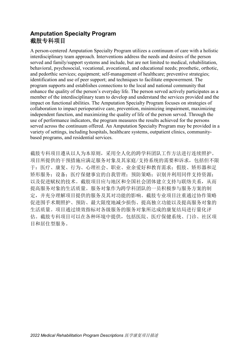## **Amputation Specialty Program** 截肢专科项目

A person-centered Amputation Specialty Program utilizes a continuum of care with a holistic interdisciplinary team approach. Interventions address the needs and desires of the person served and family/support systems and include, but are not limited to medical, rehabilitation, behavioral, psychosocial, vocational, avocational, and educational needs; prosthetic, orthotic, and pedorthic services; equipment; self-management of healthcare; preventive strategies; identification and use of peer support; and techniques to facilitate empowerment. The program supports and establishes connections to the local and national community that enhance the quality of the person's everyday life. The person served actively participates as a member of the interdisciplinary team to develop and understand the services provided and the impact on functional abilities. The Amputation Specialty Program focuses on strategies of collaboration to impact perioperative care, prevention, minimizing impairment, maximizing independent function, and maximizing the quality of life of the person served. Through the use of performance indicators, the program measures the results achieved for the persons served across the continuum offered. An Amputation Specialty Program may be provided in a variety of settings, including hospitals, healthcare systems, outpatient clinics, communitybased programs, and residential services.

截肢专科项目遵从以人为本原则,采用全人化的跨学科团队工作方法进行连续照护。 项目所提供的干预措施应满足服务对象及其家庭/支持系统的需要和诉求,包括但不限 于:医疗、康复、行为、心理社会、职业、业余爱好和教育需求;假肢、矫形器和足 矫形服务;设备;医疗保健事宜的自我管理;预防策略;识别并利用同伴支持资源; 以及促进赋权的技术。截肢项目应与地区和全国社会团体建立支持与联络关系,从而 提高服务对象的生活质量。服务对象作为跨学科团队的一员积极参与服务方案的制 定,并充分理解项目提供的服务及其对功能的影响。截肢专业项目注重通过协作策略 促进围手术期照护、预防、最大限度地减少损伤、提高独立功能以及提高服务对象的 生活质量。项目通过绩效指标对各级服务的服务对象所达成的康复结局进行量化评 估。截肢专科项目可以在各种环境中提供,包括医院、医疗保健系统、门诊、社区项 目和居住型服务。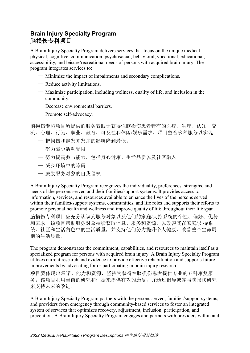# **Brain Injury Specialty Program** 脑损伤专科项目

A Brain Injury Specialty Program delivers services that focus on the unique medical, physical, cognitive, communication, psychosocial, behavioral, vocational, educational, accessibility, and leisure/recreational needs of persons with acquired brain injury. The program integrates services to:

- Minimize the impact of impairments and secondary complications.
- Reduce activity limitations.
- Maximize participation, including wellness, quality of life, and inclusion in the community.
- Decrease environmental barriers.
- Promote self-advocacy.

脑损伤专科项目所提供的服务着眼于获得性脑损伤患者特有的医疗、生理、认知、交 流、心理、行为、职业、教育、可及性和休闲/娱乐需求。项目整合多种服务以实现:

- 把损伤和继发并发症的影响降到最低。
- 努力减少活动受限
- 努力提高参与能力,包括身心健康、生活品质以及社区融入
- 减少环境中的障碍
- 鼓励服务对象的自我倡权

A Brain Injury Specialty Program recognizes the individuality, preferences, strengths, and needs of the persons served and their families/support systems. It provides access to information, services, and resources available to enhance the lives of the persons served within their families/support systems, communities, and life roles and supports their efforts to promote personal health and wellness and improve quality of life throughout their life span.

脑损伤专科项目应充分认识到服务对象以及他们的家庭/支持系统的个性、偏好、优势 和需求。该项目帮助服务对象持续获取信息、服务和资源,以改善其在家庭/支持系 统、社区和生活角色中的生活质量,并支持他们努力提升个人健康、改善整个生命周 期的生活质量。

The program demonstrates the commitment, capabilities, and resources to maintain itself as a specialized program for persons with acquired brain injury. A Brain Injury Specialty Program utilizes current research and evidence to provide effective rehabilitation and supports future improvements by advocating for or participating in brain injury research.

项目要体现出承诺、能力和资源,坚持为获得性脑损伤患者提供专业的专科康复服 务。该项目利用当前的研究和证据来提供有效的康复,并通过倡导或参与脑损伤研究 来支持未来的改进。

A Brain Injury Specialty Program partners with the persons served, families/support systems, and providers from emergency through community-based services to foster an integrated system of services that optimizes recovery, adjustment, inclusion, participation, and prevention. A Brain Injury Specialty Program engages and partners with providers within and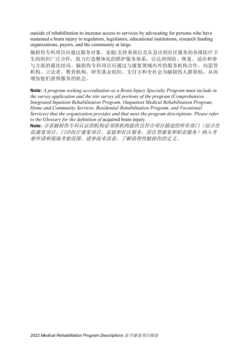outside of rehabilitation to increase access to services by advocating for persons who have sustained a brain injury to regulators, legislators, educational institutions, research funding organizations, payers, and the community at large.

脑损伤专科项目应通过服务对象、家庭/支持系统以及从急诊到社区服务的各级医疗卫 生的组织广泛合作,致力打造整体化的照护服务体系,以达到预防、恢复、适应和参 与方面的最佳结局。脑损伤专科项目应通过与康复领域内外的服务机构合作,向监管 机构、立法者、教育机构、研究基金组织、支付方和全社会为脑损伤人群倡权,从而 增加他们获得服务的机会。

**Note:** *A program seeking accreditation as a Brain Injury Specialty Program must include in the survey application and the site survey all portions of the program (Comprehensive Integrated Inpatient Rehabilitation Program, Outpatient Medical Rehabilitation Program, Home and Community Services, Residential Rehabilitation Program, and Vocational Services) that the organization provides and that meet the program descriptions. Please refer to the Glossary for the definition of* acquired brain injury*.*

**Note:** 寻求脑损伤专科认证的机构必须将机构提供且符合项目描述的所有部门(综合住 院康复项目、门诊医疗康复项目、家庭和社区服务、居住型康复和职业服务)纳入考 察申请和现场考察范围。请参阅术语表,了解获得性脑损伤的定义。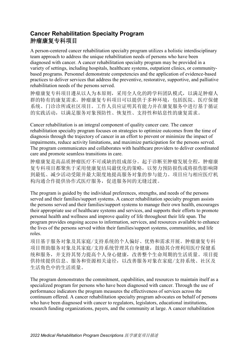# **Cancer Rehabilitation Specialty Program** 肿瘤康复专科项目

A person-centered cancer rehabilitation specialty program utilizes a holistic interdisciplinary team approach to address the unique rehabilitation needs of persons who have been diagnosed with cancer. A cancer rehabilitation specialty program may be provided in a variety of settings, including hospitals, healthcare systems, outpatient clinics, or communitybased programs. Personnel demonstrate competencies and the application of evidence-based practices to deliver services that address the preventive, restorative, supportive, and palliative rehabilitation needs of the persons served.

肿瘤康复专科项目遵从以人为本原则,采用全人化的跨学科团队模式,以满足肿瘤人 群的特有的康复需求。肿瘤康复专科项目可以提供于多种环境,包括医院、医疗保健 系统、门诊诊所或社区项目。工作人员应证明其有能力并在康复服务中进行基于循证 的实践活动,以满足服务对象预防性、恢复性、支持性和姑息性的康复需求。

Cancer rehabilitation is an integral component of quality cancer care. The cancer rehabilitation specialty program focuses on strategies to optimize outcomes from the time of diagnosis through the trajectory of cancer in an effort to prevent or minimize the impact of impairments, reduce activity limitations, and maximize participation for the persons served. The program communicates and collaborates with healthcare providers to deliver coordinated care and promote seamless transitions in care.

肿瘤康复是高品质肿瘤医疗不可或缺的组成部分。起于诊断至肿瘤发展全程,肿瘤康 复专科项目都聚焦于采用使康复结局最优化的策略,以努力预防损伤或将损伤影响降 到最低、减少活动受限并最大限度地提高服务对象的参与能力。项目应与相应医疗机 构沟通合作提供协作式医疗服务,促进服务间的无缝过渡。

The program is guided by the individual preferences, strengths, and needs of the persons served and their families/support systems. A cancer rehabilitation specialty program assists the persons served and their families/support systems to manage their own health, encourages their appropriate use of healthcare systems and services, and supports their efforts to promote personal health and wellness and improve quality of life throughout their life span. The program provides ongoing access to information, services, and resources available to enhance the lives of the persons served within their families/support systems, communities, and life roles.

项目基于服务对象及其家庭/支持系统的个人偏好、优势和需求开展。肿瘤康复专科 项目帮助服务对象及其家庭/支持系统管理其自身健康,鼓励其合理利用医疗保健系 统和服务,并支持其努力提高个人身心健康,改善整个生命周期的生活质量。项目提 供持续提供信息、服务和资源相关途径,以改善服务对象在家庭/支持系统、社区及 生活角色中的生活质量。

The program demonstrates the commitment, capabilities, and resources to maintain itself as a specialized program for persons who have been diagnosed with cancer. Through the use of performance indicators the program measures the effectiveness of services across the continuum offered. A cancer rehabilitation specialty program advocates on behalf of persons who have been diagnosed with cancer to regulators, legislators, educational institutions, research funding organizations, payers, and the community at large. A cancer rehabilitation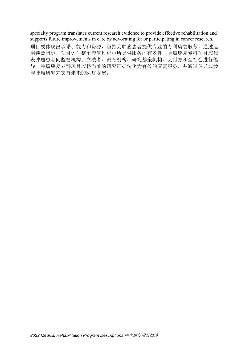specialty program translates current research evidence to provide effective rehabilitation and supports future improvements in care by advocating for or participating in cancer research.

项目要体现出承诺、能力和资源,坚持为肿瘤患者提供专业的专科康复服务。通过运 用绩效指标,项目评估整个康复过程中所提供服务的有效性。肿瘤康复专科项目应代 表肿瘤患者向监管机构、立法者、教育机构、研究基金机构、支付方和全社会进行倡 导。肿瘤康复专科项目应将当前的研究证据转化为有效的康复服务,并通过倡导或参 与肿瘤研究来支持未来的医疗发展。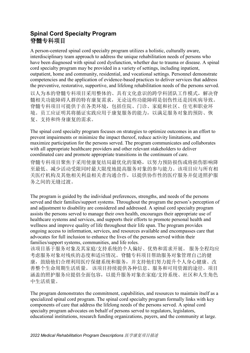# **Spinal Cord Specialty Program** 脊髓专科项目

A person-centered spinal cord specialty program utilizes a holistic, culturally aware, interdisciplinary team approach to address the unique rehabilitation needs of persons who have been diagnosed with spinal cord dysfunction, whether due to trauma or disease. A spinal cord specialty program may be provided in a variety of settings, including inpatient, outpatient, home and community, residential, and vocational settings. Personnel demonstrate competencies and the application of evidence-based practices to deliver services that address the preventive, restorative, supportive, and lifelong rehabilitation needs of the persons served. 以人为本的脊髓专科项目采用整体的、具有文化意识的跨学科团队工作模式,解决脊 髓相关功能障碍人群的特有康复需求,无论这些功能障碍是创伤性还是因疾病导致。 脊髓专科项目可提供于在各类环境,包括住院、门诊、家庭和社区、住宅和职业环 境。员工应证明其将循证实践应用于康复服务的能力,以满足服务对象的预防、恢 复、支持和终身康复的需求。

The spinal cord specialty program focuses on strategies to optimize outcomes in an effort to prevent impairments or minimize the impact thereof, reduce activity limitations, and maximize participation for the persons served. The program communicates and collaborates with all appropriate healthcare providers and other relevant stakeholders to deliver coordinated care and promote appropriate transitions in the continuum of care.

脊髓专科项目聚焦于采用使康复结局最优化的策略,以努力预防损伤或将损伤影响降 至最低、减少活动受限同时最大限度地提高服务对象的参与能力。该项目应与所有相 关医疗机构及其他相关利益相关者沟通合作,以提供协作性的医疗服务并促进照护服 务之间的无缝过渡。

The program is guided by the individual preferences, strengths, and needs of the persons served and their families/support systems. Throughout the program the person's perception of and adjustment to disability are considered and addressed. A spinal cord specialty program assists the persons served to manage their own health, encourages their appropriate use of healthcare systems and services, and supports their efforts to promote personal health and wellness and improve quality of life throughout their life span. The program provides ongoing access to information, services, and resources available and encompasses care that advocates for full inclusion to enhance the lives of the persons served within their families/support systems, communities, and life roles.

该项目基于服务对象及其家庭/支持系统的个人偏好、优势和需求开展。 服务全程均应 考虑服务对象对残疾的态度和适应情况。脊髓专科项目帮助服务对象管理自己的健 康,鼓励他们合理利用医疗保健系统和服务,并支持他们努力提升个人身心健康、改 善整个生命周期生活质量。 该项目持续提供各种信息、服务和可用资源的途径。项目 涵盖的照护服务应提倡全面包容,以提升服务对象在家庭/支持系统、社区和人生角色 中生活质量。

The program demonstrates the commitment, capabilities, and resources to maintain itself as a specialized spinal cord program. The spinal cord specialty program formally links with key components of care that address the lifelong needs of the persons served. A spinal cord specialty program advocates on behalf of persons served to regulators, legislators, educational institutions, research funding organizations, payers, and the community at large.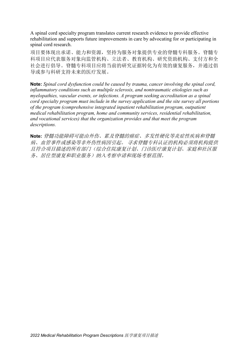A spinal cord specialty program translates current research evidence to provide effective rehabilitation and supports future improvements in care by advocating for or participating in spinal cord research.

项目要体现出承诺、能力和资源,坚持为服务对象提供专业的脊髓专科服务。脊髓专 科项目应代表服务对象向监管机构、立法者、教育机构、研究资助机构、支付方和全 社会进行倡导。脊髓专科项目应将当前的研究证据转化为有效的康复服务,并通过倡 导或参与科研支持未来的医疗发展。

**Note:** *Spinal cord dysfunction could be caused by trauma, cancer involving the spinal cord, inflammatory conditions such as multiple sclerosis, and nontraumatic etiologies such as myelopathies, vascular events, or infections. A program seeking accreditation as a spinal cord specialty program must include in the survey application and the site survey all portions of the program (comprehensive integrated inpatient rehabilitation program, outpatient medical rehabilitation program, home and community services, residential rehabilitation, and vocational services) that the organization provides and that meet the program descriptions.*

**Note:** 脊髓功能障碍可能由外伤、累及脊髓的癌症、多发性硬化等炎症性疾病和脊髓 病、血管事件或感染等非外伤性病因引起。 寻求脊髓专科认证的机构必须将机构提供 且符合项目描述的所有部门(综合住院康复计划、门诊医疗康复计划、家庭和社区服 务、居住型康复和职业服务)纳入考察申请和现场考察范围。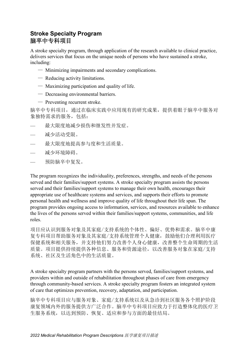# **Stroke Specialty Program** 脑卒中专科项目

A stroke specialty program, through application of the research available to clinical practice, delivers services that focus on the unique needs of persons who have sustained a stroke, including:

- Minimizing impairments and secondary complications.
- Reducing activity limitations.
- Maximizing participation and quality of life.
- Decreasing environmental barriers.
- Preventing recurrent stroke.

脑卒中专科项目,通过在临床实践中应用现有的研究成果,提供着眼于脑卒中服务对 象独特需求的服务,包括:

- 最大限度地减少损伤和继发性并发症。
- 减少活动受限。
- 最大限度地提高参与度和生活质量。
- 减少环境障碍。
- 预防脑卒中复发。

The program recognizes the individuality, preferences, strengths, and needs of the persons served and their families/support systems. A stroke specialty program assists the persons served and their families/support systems to manage their own health, encourages their appropriate use of healthcare systems and services, and supports their efforts to promote personal health and wellness and improve quality of life throughout their life span. The program provides ongoing access to information, services, and resources available to enhance the lives of the persons served within their families/support systems, communities, and life roles.

项目应认识到服务对象及其家庭/支持系统的个体性、偏好、优势和需求。脑卒中康 复专科项目帮助服务对象及其家庭/支持系统管理个人健康,鼓励他们合理利用医疗 保健系统和相关服务,并支持他们努力改善个人身心健康,改善整个生命周期的生活 质量。项目提供持续提供各种信息、服务和资源途径,以改善服务对象在家庭/支持 系统、社区及生活角色中的生活质量。

A stroke specialty program partners with the persons served, families/support systems, and providers within and outside of rehabilitation throughout phases of care from emergency through community-based services. A stroke specialty program fosters an integrated system of care that optimizes prevention, recovery, adaptation, and participation.

脑卒中专科项目应与服务对象、家庭/支持系统以及从急诊到社区服务各个照护阶段 康复领域内外的服务提供方广泛合作。脑卒中专科项目应致力于打造整体化的医疗卫 生服务系统,以达到预防、恢复、适应和参与方面的最佳结局。